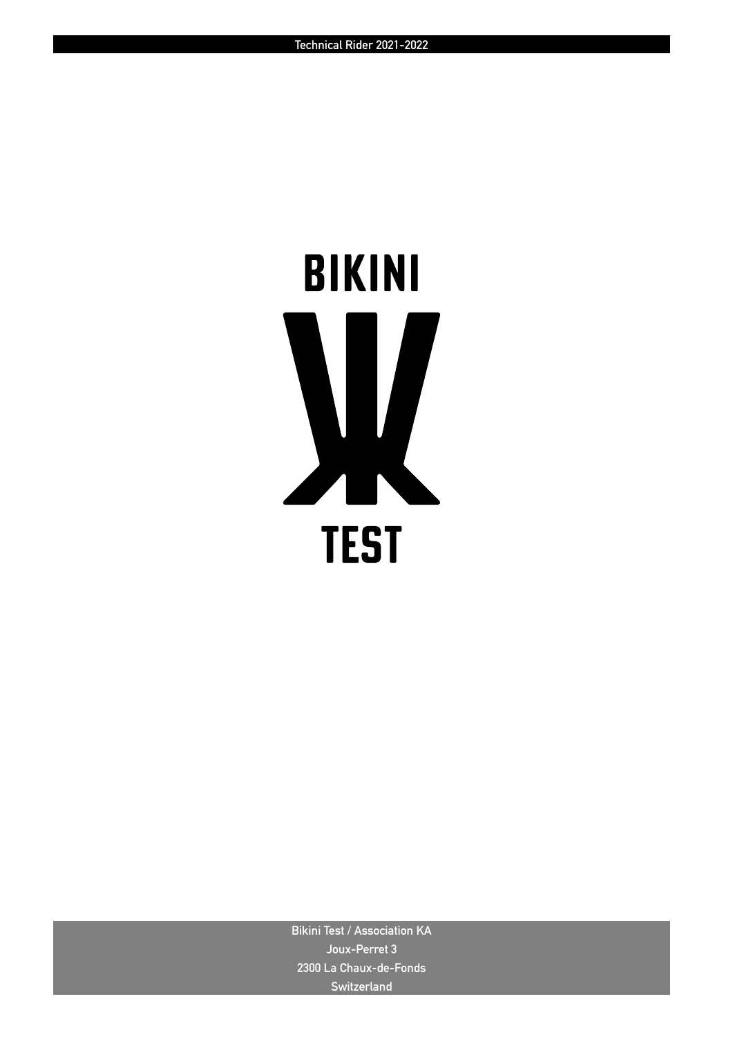# **BIKINI TEST**

**Bikini Test / Association KA Joux-Perret 3 2300 La Chaux-de-Fonds Switzerland**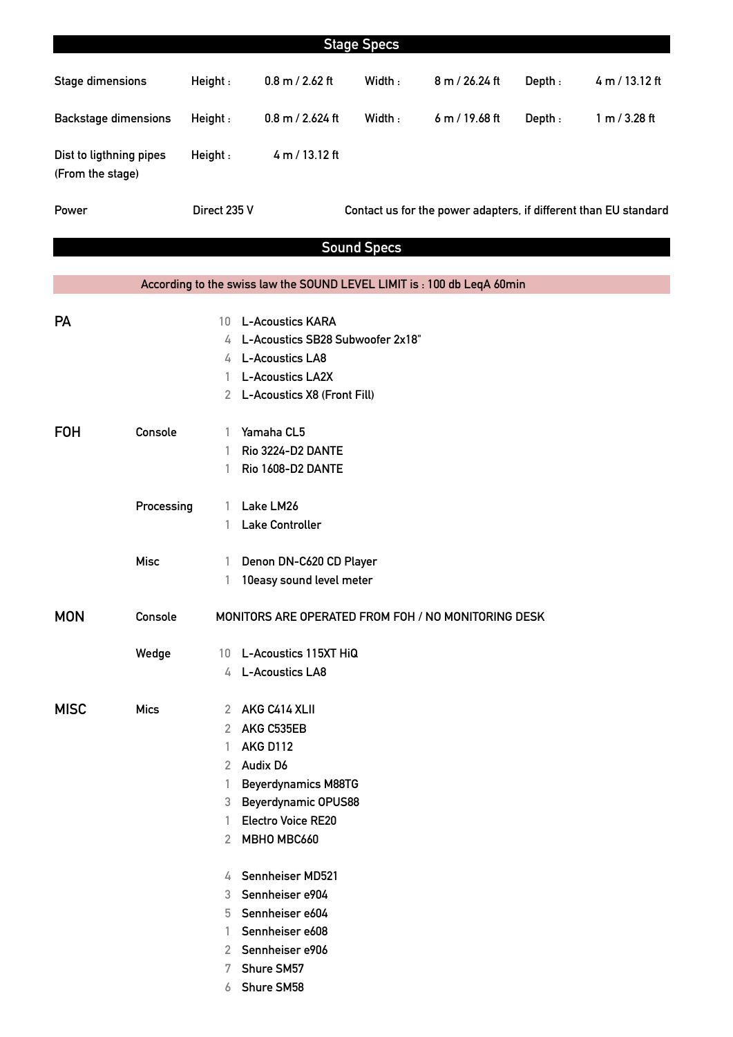|                                             |             |                                                     |                                                                         | <b>Stage Specs</b> |                                                                  |        |                |
|---------------------------------------------|-------------|-----------------------------------------------------|-------------------------------------------------------------------------|--------------------|------------------------------------------------------------------|--------|----------------|
|                                             |             |                                                     |                                                                         |                    |                                                                  |        |                |
| <b>Stage dimensions</b>                     |             | Height:                                             | $0.8$ m $/$ 2.62 ft                                                     | Width:             | 8 m / 26.24 ft                                                   | Depth: | 4 m / 13.12 ft |
| <b>Backstage dimensions</b>                 |             | Height:                                             | $0.8$ m $/$ 2.624 ft                                                    | Width:             | 6 m / 19.68 ft                                                   | Depth: | 1 m / 3.28 ft  |
| Dist to ligthning pipes<br>(From the stage) |             | Height:                                             | 4 m / 13.12 ft                                                          |                    |                                                                  |        |                |
| Power                                       |             | Direct 235 V                                        |                                                                         |                    | Contact us for the power adapters, if different than EU standard |        |                |
|                                             |             |                                                     |                                                                         | <b>Sound Specs</b> |                                                                  |        |                |
|                                             |             |                                                     |                                                                         |                    |                                                                  |        |                |
|                                             |             |                                                     | According to the swiss law the SOUND LEVEL LIMIT is : 100 db LeqA 60min |                    |                                                                  |        |                |
|                                             |             |                                                     | <b>L-Acoustics KARA</b>                                                 |                    |                                                                  |        |                |
| <b>PA</b>                                   |             | 10                                                  | 4 L-Acoustics SB28 Subwoofer 2x18"                                      |                    |                                                                  |        |                |
|                                             |             |                                                     | 4 L-Acoustics LA8                                                       |                    |                                                                  |        |                |
|                                             |             | 1.                                                  | <b>L-Acoustics LA2X</b>                                                 |                    |                                                                  |        |                |
|                                             |             |                                                     | 2 L-Acoustics X8 (Front Fill)                                           |                    |                                                                  |        |                |
|                                             |             |                                                     |                                                                         |                    |                                                                  |        |                |
| <b>FOH</b>                                  | Console     | 1                                                   | Yamaha CL5                                                              |                    |                                                                  |        |                |
|                                             |             | 1                                                   | Rio 3224-D2 DANTE                                                       |                    |                                                                  |        |                |
|                                             |             | 1                                                   | <b>Rio 1608-D2 DANTE</b>                                                |                    |                                                                  |        |                |
|                                             |             |                                                     |                                                                         |                    |                                                                  |        |                |
|                                             | Processing  | 1                                                   | Lake LM26                                                               |                    |                                                                  |        |                |
|                                             |             | 1                                                   | <b>Lake Controller</b>                                                  |                    |                                                                  |        |                |
|                                             | <b>Misc</b> | 1                                                   | Denon DN-C620 CD Player                                                 |                    |                                                                  |        |                |
|                                             |             | 1                                                   | 10easy sound level meter                                                |                    |                                                                  |        |                |
| <b>MON</b>                                  | Console     | MONITORS ARE OPERATED FROM FOH / NO MONITORING DESK |                                                                         |                    |                                                                  |        |                |
|                                             |             |                                                     |                                                                         |                    |                                                                  |        |                |
|                                             | Wedge       |                                                     | 10 L-Acoustics 115XT HiQ                                                |                    |                                                                  |        |                |
|                                             |             |                                                     | 4 L-Acoustics LA8                                                       |                    |                                                                  |        |                |
| <b>MISC</b>                                 | <b>Mics</b> |                                                     | 2 AKG C414 XLII                                                         |                    |                                                                  |        |                |
|                                             |             | 2                                                   | AKG C535EB                                                              |                    |                                                                  |        |                |
|                                             |             | 1                                                   | <b>AKG D112</b>                                                         |                    |                                                                  |        |                |
|                                             |             |                                                     | 2 Audix D6                                                              |                    |                                                                  |        |                |
|                                             |             | 1                                                   | <b>Beyerdynamics M88TG</b>                                              |                    |                                                                  |        |                |
|                                             |             |                                                     | 3 Beyerdynamic OPUS88                                                   |                    |                                                                  |        |                |
|                                             |             | 1                                                   | <b>Electro Voice RE20</b>                                               |                    |                                                                  |        |                |
|                                             |             |                                                     | 2 MBHO MBC660                                                           |                    |                                                                  |        |                |
|                                             |             |                                                     | 4 Sennheiser MD521                                                      |                    |                                                                  |        |                |
|                                             |             | 3.                                                  | Sennheiser e904                                                         |                    |                                                                  |        |                |
|                                             |             |                                                     | 5 Sennheiser e604                                                       |                    |                                                                  |        |                |
|                                             |             | 1.                                                  | Sennheiser e608                                                         |                    |                                                                  |        |                |
|                                             |             |                                                     | 2 Sennheiser e906                                                       |                    |                                                                  |        |                |
|                                             |             | 7                                                   | Shure SM57                                                              |                    |                                                                  |        |                |
|                                             |             | 6                                                   | <b>Shure SM58</b>                                                       |                    |                                                                  |        |                |
|                                             |             |                                                     |                                                                         |                    |                                                                  |        |                |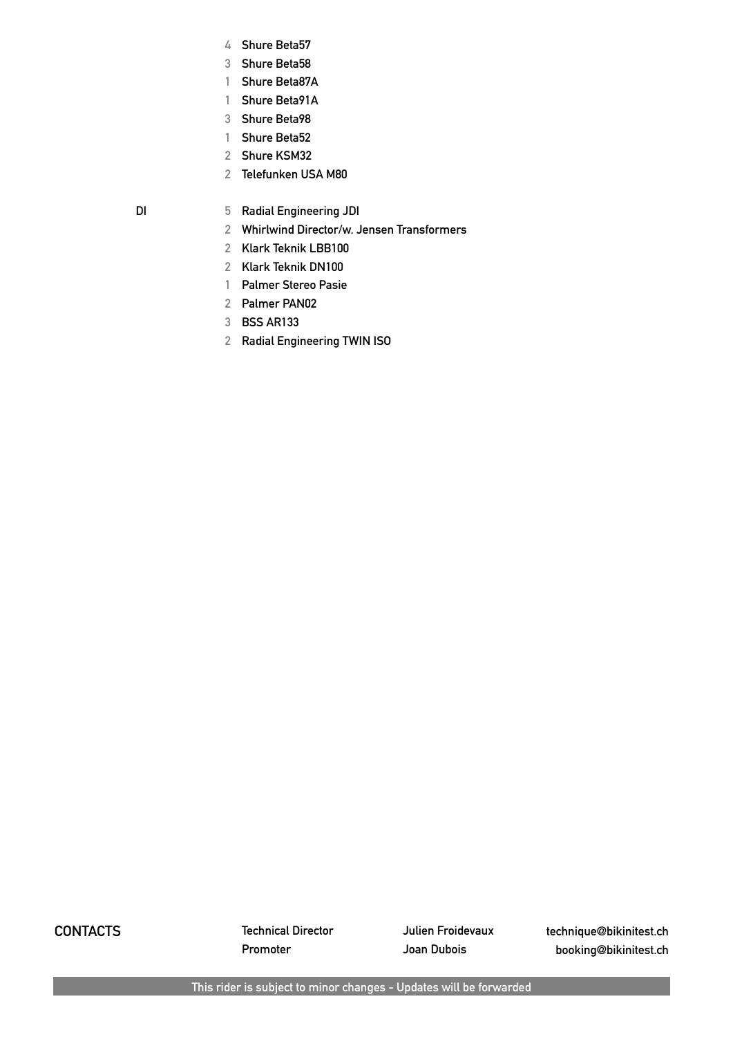- **Shure Beta57**
- **Shure Beta58**
- **Shure Beta87A**
- **Shure Beta91A**
- **Shure Beta98**
- **Shure Beta52**
- **Shure KSM32**
- 
- **DI 5 Radial Engineering JDI**

**Telefunken USA M80**

- **Whirlwind Director/w. Jensen Transformers**
- **Klark Teknik LBB100**
- **Klark Teknik DN100**
- **Palmer Stereo Pasie**
- **Palmer PAN02**
- **BSS AR133**
- **Radial Engineering TWIN ISO**

**CONTACTS Technical Director Julien Froidevaux technique@bikinitest.ch Promoter Joan Dubois booking@bikinitest.ch**

**This rider is subject to minor changes - Updates will be forwarded**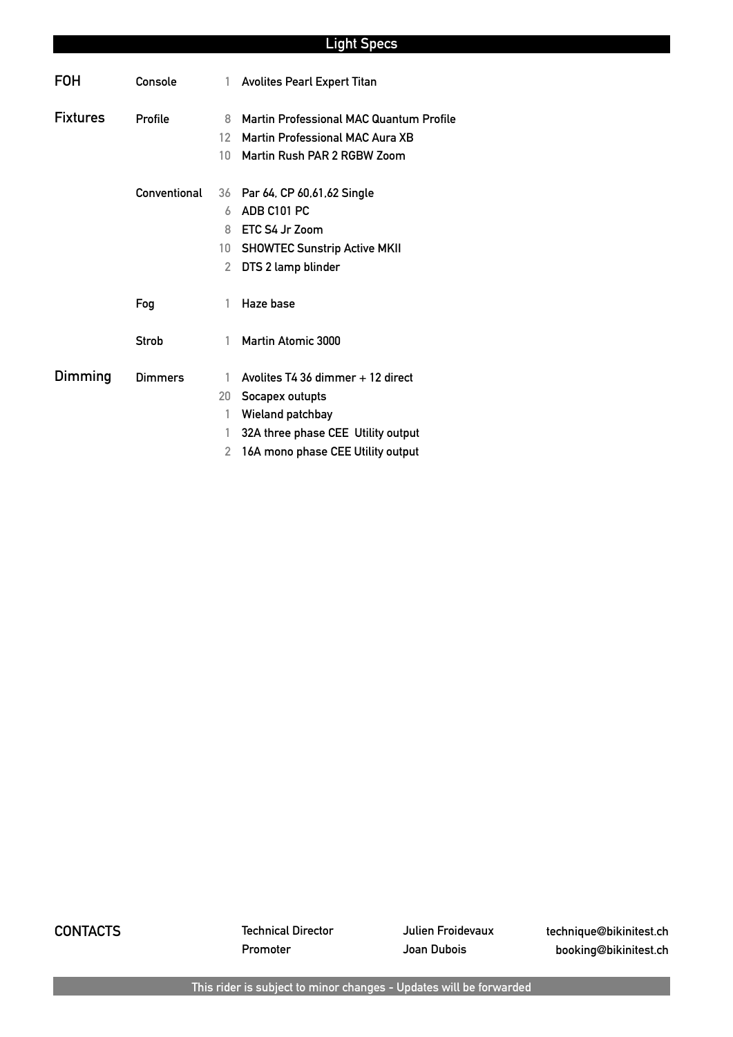# **Light Specs**

| <b>FOH</b>      | Console        | 1.                   | <b>Avolites Pearl Expert Titan</b>                                                |
|-----------------|----------------|----------------------|-----------------------------------------------------------------------------------|
| <b>Fixtures</b> | Profile        | 8<br>12 <sup>°</sup> | <b>Martin Professional MAC Quantum Profile</b><br>Martin Professional MAC Aura XB |
|                 |                | 10 <sup>1</sup>      | Martin Rush PAR 2 RGBW Zoom                                                       |
|                 | Conventional   |                      | 36 Par 64, CP 60,61,62 Single                                                     |
|                 |                | 6                    | ADB C101 PC                                                                       |
|                 |                | 8                    | ETC S4 Jr Zoom                                                                    |
|                 |                | 10                   | <b>SHOWTEC Sunstrip Active MKII</b>                                               |
|                 |                | 2                    | DTS 2 lamp blinder                                                                |
|                 | Fog            | 1                    | Haze base                                                                         |
|                 | Strob          | 1                    | <b>Martin Atomic 3000</b>                                                         |
| Dimming         | <b>Dimmers</b> | 1                    | Avolites T4 36 dimmer + 12 direct                                                 |
|                 |                | 20                   | Socapex outupts                                                                   |
|                 |                | 1                    | Wieland patchbay                                                                  |
|                 |                | 1                    | 32A three phase CEE Utility output                                                |
|                 |                | 2                    | 16A mono phase CEE Utility output                                                 |

**CONTACTS Technical Director Julien Froidevaux technique@bikinitest.ch Promoter Joan Dubois booking@bikinitest.ch**